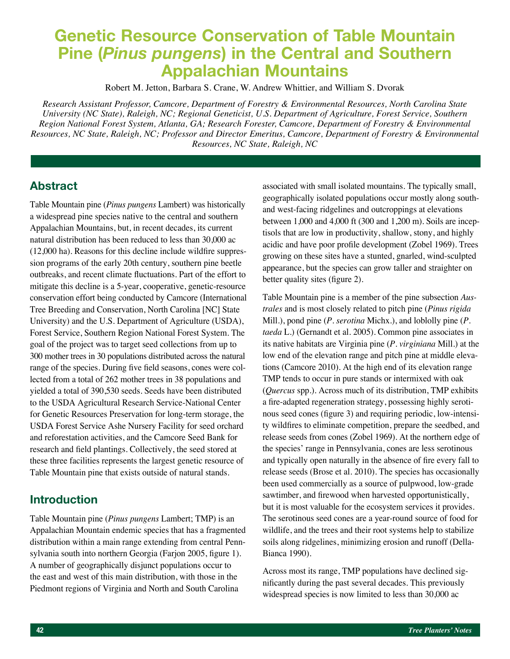# **Genetic Resource Conservation of Table Mountain Pine (***Pinus pungens***) in the Central and Southern Appalachian Mountains**

Robert M. Jetton, Barbara S. Crane, W. Andrew Whittier, and William S. Dvorak

*Research Assistant Professor, Camcore, Department of Forestry & Environmental Resources, North Carolina State University (NC State), Raleigh, NC; Regional Geneticist, U.S. Department of Agriculture, Forest Service, Southern Region National Forest System, Atlanta, GA; Research Forester, Camcore, Department of Forestry & Environmental Resources, NC State, Raleigh, NC; Professor and Director Emeritus, Camcore, Department of Forestry & Environmental Resources, NC State, Raleigh, NC*

## **Abstract**

Table Mountain pine (*Pinus pungens* Lambert) was historically a widespread pine species native to the central and southern Appalachian Mountains, but, in recent decades, its current natural distribution has been reduced to less than 30,000 ac (12,000 ha). Reasons for this decline include wildfire suppression programs of the early 20th century, southern pine beetle outbreaks, and recent climate fluctuations. Part of the effort to mitigate this decline is a 5-year, cooperative, genetic-resource conservation effort being conducted by Camcore (International Tree Breeding and Conservation, North Carolina [NC] State University) and the U.S. Department of Agriculture (USDA), Forest Service, Southern Region National Forest System. The goal of the project was to target seed collections from up to 300 mother trees in 30 populations distributed across the natural range of the species. During five field seasons, cones were collected from a total of 262 mother trees in 38 populations and yielded a total of 390,530 seeds. Seeds have been distributed to the USDA Agricultural Research Service-National Center for Genetic Resources Preservation for long-term storage, the USDA Forest Service Ashe Nursery Facility for seed orchard and reforestation activities, and the Camcore Seed Bank for research and field plantings. Collectively, the seed stored at these three facilities represents the largest genetic resource of Table Mountain pine that exists outside of natural stands.

## **Introduction**

Table Mountain pine (*Pinus pungens* Lambert; TMP) is an Appalachian Mountain endemic species that has a fragmented distribution within a main range extending from central Pennsylvania south into northern Georgia (Farjon 2005, figure 1). A number of geographically disjunct populations occur to the east and west of this main distribution, with those in the Piedmont regions of Virginia and North and South Carolina

associated with small isolated mountains. The typically small, geographically isolated populations occur mostly along southand west-facing ridgelines and outcroppings at elevations between 1,000 and 4,000 ft (300 and 1,200 m). Soils are inceptisols that are low in productivity, shallow, stony, and highly acidic and have poor profile development (Zobel 1969). Trees growing on these sites have a stunted, gnarled, wind-sculpted appearance, but the species can grow taller and straighter on better quality sites (figure 2).

Table Mountain pine is a member of the pine subsection *Australes* and is most closely related to pitch pine (*Pinus rigida*  Mill.), pond pine (*P. serotina* Michx.), and loblolly pine (*P. taeda* L.) (Gernandt et al. 2005). Common pine associates in its native habitats are Virginia pine (*P. virginiana* Mill.) at the low end of the elevation range and pitch pine at middle elevations (Camcore 2010). At the high end of its elevation range TMP tends to occur in pure stands or intermixed with oak (*Quercus* spp.). Across much of its distribution, TMP exhibits a fire-adapted regeneration strategy, possessing highly serotinous seed cones (figure 3) and requiring periodic, low-intensity wildfires to eliminate competition, prepare the seedbed, and release seeds from cones (Zobel 1969). At the northern edge of the species' range in Pennsylvania, cones are less serotinous and typically open naturally in the absence of fire every fall to release seeds (Brose et al. 2010). The species has occasionally been used commercially as a source of pulpwood, low-grade sawtimber, and firewood when harvested opportunistically, but it is most valuable for the ecosystem services it provides. The serotinous seed cones are a year-round source of food for wildlife, and the trees and their root systems help to stabilize soils along ridgelines, minimizing erosion and runoff (Della-Bianca 1990).

Across most its range, TMP populations have declined significantly during the past several decades. This previously widespread species is now limited to less than 30,000 ac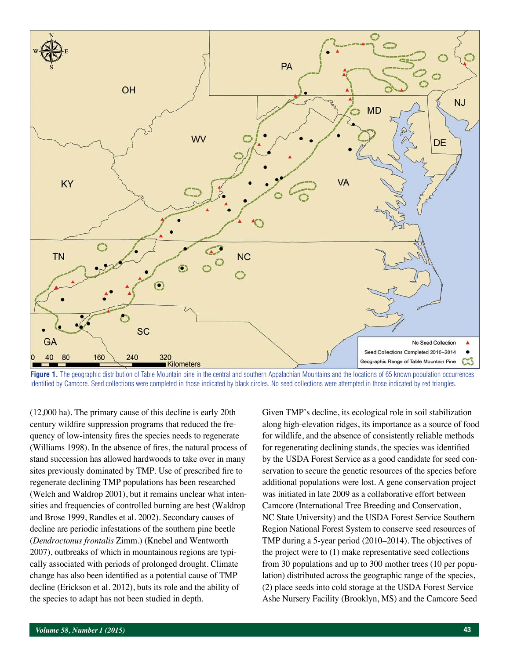

Figure 1. The geographic distribution of Table Mountain pine in the central and southern Appalachian Mountains and the locations of 65 known population occurrences identified by Camcore. Seed collections were completed in those indicated by black circles. No seed collections were attempted in those indicated by red triangles.

(12,000 ha). The primary cause of this decline is early 20th century wildfire suppression programs that reduced the frequency of low-intensity fires the species needs to regenerate (Williams 1998). In the absence of fires, the natural process of stand succession has allowed hardwoods to take over in many sites previously dominated by TMP. Use of prescribed fire to regenerate declining TMP populations has been researched (Welch and Waldrop 2001), but it remains unclear what intensities and frequencies of controlled burning are best (Waldrop and Brose 1999, Randles et al. 2002). Secondary causes of decline are periodic infestations of the southern pine beetle (*Dendroctonus frontalis* Zimm.) (Knebel and Wentworth 2007), outbreaks of which in mountainous regions are typically associated with periods of prolonged drought. Climate change has also been identified as a potential cause of TMP decline (Erickson et al. 2012), buts its role and the ability of the species to adapt has not been studied in depth.

Given TMP's decline, its ecological role in soil stabilization along high-elevation ridges, its importance as a source of food for wildlife, and the absence of consistently reliable methods for regenerating declining stands, the species was identified by the USDA Forest Service as a good candidate for seed conservation to secure the genetic resources of the species before additional populations were lost. A gene conservation project was initiated in late 2009 as a collaborative effort between Camcore (International Tree Breeding and Conservation, NC State University) and the USDA Forest Service Southern Region National Forest System to conserve seed resources of TMP during a 5-year period (2010–2014). The objectives of the project were to (1) make representative seed collections from 30 populations and up to 300 mother trees (10 per population) distributed across the geographic range of the species, (2) place seeds into cold storage at the USDA Forest Service Ashe Nursery Facility (Brooklyn, MS) and the Camcore Seed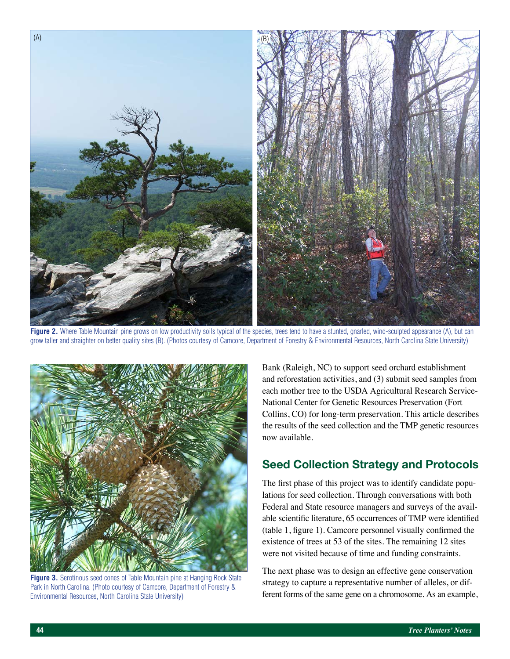

**Figure 2.** Where Table Mountain pine grows on low productivity soils typical of the species, trees tend to have a stunted, gnarled, wind-sculpted appearance (A), but can grow taller and straighter on better quality sites (B). (Photos courtesy of Camcore, Department of Forestry & Environmental Resources, North Carolina State University)



**Figure 3.** Serotinous seed cones of Table Mountain pine at Hanging Rock State Park in North Carolina. (Photo courtesy of Camcore, Department of Forestry & Environmental Resources, North Carolina State University)

Bank (Raleigh, NC) to support seed orchard establishment and reforestation activities, and (3) submit seed samples from each mother tree to the USDA Agricultural Research Service-National Center for Genetic Resources Preservation (Fort Collins, CO) for long-term preservation. This article describes the results of the seed collection and the TMP genetic resources now available.

# **Seed Collection Strategy and Protocols**

The first phase of this project was to identify candidate populations for seed collection. Through conversations with both Federal and State resource managers and surveys of the available scientific literature, 65 occurrences of TMP were identified (table 1, figure 1). Camcore personnel visually confirmed the existence of trees at 53 of the sites. The remaining 12 sites were not visited because of time and funding constraints.

The next phase was to design an effective gene conservation strategy to capture a representative number of alleles, or different forms of the same gene on a chromosome. As an example,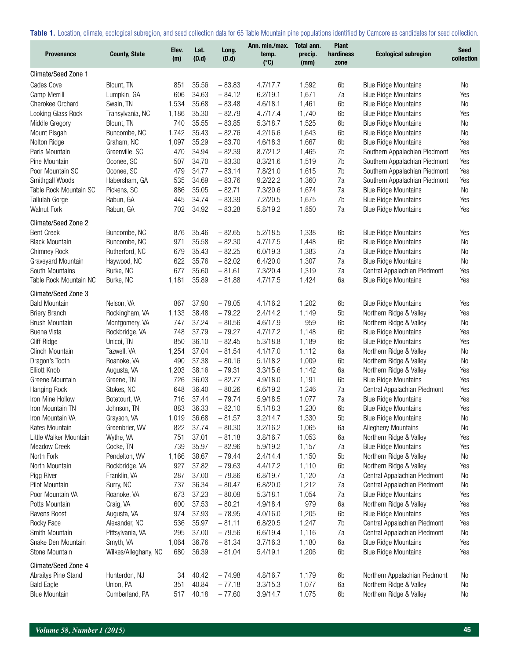**Table 1.** Location, climate, ecological subregion, and seed collection data for 65 Table Mountain pine populations identified by Camcore as candidates for seed collection.

| <b>Provenance</b>      | <b>County, State</b> | Elev.<br>(m) | Lat.<br>(D.d) | Long.<br>(D.d) | Ann. min./max.<br>temp.<br>$(^{\circ}C)$ | Total ann.<br>precip.<br>(mm) | <b>Plant</b><br>hardiness<br>zone | <b>Ecological subregion</b>   | <b>Seed</b><br>collection |
|------------------------|----------------------|--------------|---------------|----------------|------------------------------------------|-------------------------------|-----------------------------------|-------------------------------|---------------------------|
| Climate/Seed Zone 1    |                      |              |               |                |                                          |                               |                                   |                               |                           |
| Cades Cove             | Blount, TN           | 851          | 35.56         | $-83.83$       | 4.7/17.7                                 | 1,592                         | 6 <sub>b</sub>                    | <b>Blue Ridge Mountains</b>   | No                        |
| Camp Merrill           | Lumpkin, GA          | 606          | 34.63         | $-84.12$       | 6.2/19.1                                 | 1,671                         | 7a                                | <b>Blue Ridge Mountains</b>   | Yes                       |
| Cherokee Orchard       | Swain, TN            | 1,534        | 35.68         | $-83.48$       | 4.6/18.1                                 | 1,461                         | 6b                                | <b>Blue Ridge Mountains</b>   | No                        |
| Looking Glass Rock     | Transylvania, NC     | 1,186        | 35.30         | $-82.79$       | 4.7/17.4                                 | 1,740                         | 6b                                | <b>Blue Ridge Mountains</b>   | Yes                       |
| Middle Gregory         | Blount, TN           | 740          | 35.55         | $-83.85$       | 5.3/18.7                                 | 1,525                         | 6 <sub>b</sub>                    | <b>Blue Ridge Mountains</b>   | <b>No</b>                 |
| Mount Pisgah           | Buncombe, NC         | 1,742        | 35.43         | $-82.76$       | 4.2/16.6                                 | 1,643                         | 6b                                | <b>Blue Ridge Mountains</b>   | No                        |
| Nolton Ridge           | Graham, NC           | 1,097        | 35.29         | $-83.70$       | 4.6/18.3                                 | 1,667                         | 6b                                | <b>Blue Ridge Mountains</b>   | Yes                       |
| Paris Mountain         | Greenville, SC       | 470          | 34.94         | $-82.39$       | 8.7/21.2                                 | 1,465                         | 7b                                | Southern Appalachian Piedmont | Yes                       |
| Pine Mountain          | Oconee, SC           | 507          | 34.70         | $-83.30$       | 8.3/21.6                                 | 1,519                         | 7b                                | Southern Appalachian Piedmont | Yes                       |
| Poor Mountain SC       | Oconee, SC           | 479          | 34.77         | $-83.14$       | 7.8/21.0                                 | 1,615                         | 7b                                | Southern Appalachian Piedmont | Yes                       |
| Smithgall Woods        | Habersham, GA        | 535          | 34.69         | $-83.76$       | 9.2/22.2                                 | 1,360                         | 7a                                | Southern Appalachian Piedmont | Yes                       |
| Table Rock Mountain SC | Pickens, SC          | 886          | 35.05         | $-82.71$       | 7.3/20.6                                 | 1,674                         | 7a                                | <b>Blue Ridge Mountains</b>   | No                        |
| <b>Tallulah Gorge</b>  | Rabun, GA            | 445          | 34.74         | $-83.39$       | 7.2/20.5                                 | 1,675                         | 7b                                | <b>Blue Ridge Mountains</b>   | Yes                       |
| <b>Walnut Fork</b>     | Rabun, GA            | 702          | 34.92         | $-83.28$       | 5.8/19.2                                 | 1,850                         | 7a                                | <b>Blue Ridge Mountains</b>   | Yes                       |
| Climate/Seed Zone 2    |                      |              |               |                |                                          |                               |                                   |                               |                           |
| <b>Bent Creek</b>      | Buncombe, NC         | 876          | 35.46         | $-82.65$       | 5.2/18.5                                 | 1,338                         | 6b                                | <b>Blue Ridge Mountains</b>   | Yes                       |
| <b>Black Mountain</b>  | Buncombe, NC         | 971          | 35.58         | $-82.30$       | 4.7/17.5                                 | 1,448                         | 6b                                | <b>Blue Ridge Mountains</b>   | No                        |
| <b>Chimney Rock</b>    | Rutherford, NC       | 679          | 35.43         | $-82.25$       | 6.0/19.3                                 | 1,383                         | 7a                                | <b>Blue Ridge Mountains</b>   | No                        |
| Graveyard Mountain     | Haywood, NC          | 622          | 35.76         | $-82.02$       | 6.4/20.0                                 | 1,307                         | 7a                                | <b>Blue Ridge Mountains</b>   | No                        |
| South Mountains        | Burke, NC            | 677          | 35.60         | $-81.61$       | 7.3/20.4                                 | 1,319                         | 7a                                | Central Appalachian Piedmont  | Yes                       |
| Table Rock Mountain NC | Burke, NC            | 1,181        | 35.89         | $-81.88$       | 4.7/17.5                                 | 1,424                         | 6a                                | <b>Blue Ridge Mountains</b>   | Yes                       |
| Climate/Seed Zone 3    |                      |              |               |                |                                          |                               |                                   |                               |                           |
| <b>Bald Mountain</b>   | Nelson, VA           | 867          | 37.90         | $-79.05$       | 4.1/16.2                                 | 1,202                         | 6b                                | <b>Blue Ridge Mountains</b>   | Yes                       |
| <b>Briery Branch</b>   | Rockingham, VA       | 1,133        | 38.48         | $-79.22$       | 2.4/14.2                                 | 1,149                         | 5b                                | Northern Ridge & Valley       | Yes                       |
| <b>Brush Mountain</b>  | Montgomery, VA       | 747          | 37.24         | $-80.56$       | 4.6/17.9                                 | 959                           | 6b                                | Northern Ridge & Valley       | No                        |
| Buena Vista            | Rockbridge, VA       | 748          | 37.79         | $-79.27$       | 4.7/17.2                                 | 1,148                         | 6b                                | <b>Blue Ridge Mountains</b>   | Yes                       |
| Cliff Ridge            | Unicoi, TN           | 850          | 36.10         | $-82.45$       | 5.3/18.8                                 | 1,189                         | 6b                                | <b>Blue Ridge Mountains</b>   | Yes                       |
| <b>Clinch Mountain</b> | Tazwell, VA          | 1,254        | 37.04         | $-81.54$       | 4.1/17.0                                 | 1,112                         | 6a                                | Northern Ridge & Valley       | No                        |
| Dragon's Tooth         | Roanoke, VA          | 490          | 37.38         | $-80.16$       | 5.1/18.2                                 | 1,009                         | 6b                                | Northern Ridge & Valley       | No                        |
| <b>Elliott Knob</b>    | Augusta, VA          | 1,203        | 38.16         | $-79.31$       | 3.3/15.6                                 | 1,142                         | 6a                                | Northern Ridge & Valley       | Yes                       |
| Greene Mountain        | Greene, TN           | 726          | 36.03         | $-82.77$       | 4.9/18.0                                 | 1,191                         | 6b                                | <b>Blue Ridge Mountains</b>   | Yes                       |
| Hanging Rock           | Stokes, NC           | 648          | 36.40         | $-80.26$       | 6.6/19.2                                 | 1,246                         | 7a                                | Central Appalachian Piedmont  | Yes                       |
| Iron Mine Hollow       | Botetourt, VA        | 716          | 37.44         | $-79.74$       | 5.9/18.5                                 | 1,077                         | 7a                                | <b>Blue Ridge Mountains</b>   | Yes                       |
| Iron Mountain TN       | Johnson, TN          | 883          | 36.33         | $-82.10$       | 5.1/18.3                                 | 1,230                         | 6b                                | <b>Blue Ridge Mountains</b>   | Yes                       |
| Iron Mountain VA       | Grayson, VA          | 1,019        | 36.68         | $-81.57$       | 3.2/14.7                                 | 1,330                         | 5b                                | <b>Blue Ridge Mountains</b>   | No                        |
| Kates Mountain         | Greenbrier, WV       | 822          | 37.74         | $-80.30$       | 3.2/16.2                                 | 1,065                         | 6a                                | Allegheny Mountains           | No                        |
| Little Walker Mountain | Wythe, VA            | 751          | 37.01         | $-81.18$       | 3.8/16.7                                 | 1,053                         | 6a                                | Northern Ridge & Valley       | Yes                       |
| Meadow Creek           | Cocke, TN            | 739          | 35.97         | $-82.96$       | 5.9/19.2                                 | 1,157                         | 7a                                | <b>Blue Ridge Mountains</b>   | Yes                       |
| North Fork             | Pendelton, WV        | 1,166        | 38.67         | $-79.44$       | 2.4/14.4                                 | 1,150                         | 5 <sub>b</sub>                    | Northern Ridge & Valley       | No                        |
| North Mountain         | Rockbridge, VA       | 927          | 37.82         | $-79.63$       | 4.4/17.2                                 | 1,110                         | 6b                                | Northern Ridge & Valley       | Yes                       |
| Pigg River             | Franklin, VA         | 287          | 37.00         | $-79.86$       | 6.8/19.7                                 | 1,120                         | 7a                                | Central Appalachian Piedmont  | No                        |
| Pilot Mountain         | Surry, NC            | 737          | 36.34         | $-80.47$       | 6.8/20.0                                 | 1,212                         | 7a                                | Central Appalachian Piedmont  | No                        |
| Poor Mountain VA       | Roanoke, VA          | 673          | 37.23         | $-80.09$       | 5.3/18.1                                 | 1,054                         | 7a                                | <b>Blue Ridge Mountains</b>   | Yes                       |
| Potts Mountain         | Craig, VA            | 600          | 37.53         | $-80.21$       | 4.9/18.4                                 | 979                           | 6a                                | Northern Ridge & Valley       | Yes                       |
| Ravens Roost           | Augusta, VA          | 974          | 37.93         | $-78.95$       | 4.0/16.0                                 | 1,205                         | 6b                                | <b>Blue Ridge Mountains</b>   | Yes                       |
| Rocky Face             | Alexander, NC        | 536          | 35.97         | $-81.11$       | 6.8/20.5                                 | 1,247                         | 7b                                | Central Appalachian Piedmont  | Yes                       |
| Smith Mountain         | Pittsylvania, VA     | 295          | 37.00         | $-79.56$       | 6.6/19.4                                 | 1,116                         | 7a                                | Central Appalachian Piedmont  | No                        |
| Snake Den Mountain     | Smyth, VA            | 1,064        | 36.76         | $-81.34$       | 3.7/16.3                                 | 1,180                         | 6a                                | <b>Blue Ridge Mountains</b>   | Yes                       |
| Stone Mountain         | Wilkes/Alleghany, NC | 680          | 36.39         | $-81.04$       | 5.4/19.1                                 | 1,206                         | 6b                                | <b>Blue Ridge Mountains</b>   | Yes                       |
| Climate/Seed Zone 4    |                      |              |               |                |                                          |                               |                                   |                               |                           |
| Abraitys Pine Stand    | Hunterdon, NJ        | 34           | 40.42         | $-74.98$       | 4.8/16.7                                 | 1,179                         | 6b                                | Northern Appalachian Piedmont | No                        |
| <b>Bald Eagle</b>      | Union, PA            | 351          | 40.84         | $-77.18$       | 3.3/15.3                                 | 1,077                         | 6a                                | Northern Ridge & Valley       | No                        |
| <b>Blue Mountain</b>   | Cumberland, PA       | 517          | 40.18         | $-77.60$       | 3.9/14.7                                 | 1,075                         | 6b                                | Northern Ridge & Valley       | No                        |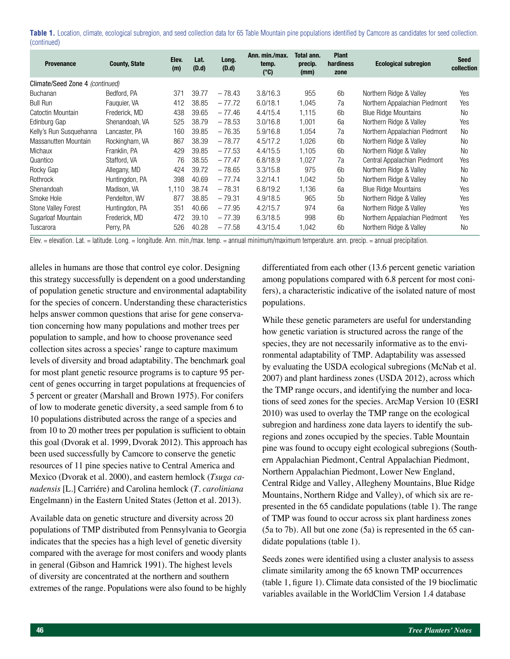|             |  |  |  | Table 1. Location, climate, ecological subregion, and seed collection data for 65 Table Mountain pine populations identified by Camcore as candidates for seed collection. |  |
|-------------|--|--|--|----------------------------------------------------------------------------------------------------------------------------------------------------------------------------|--|
| (continued) |  |  |  |                                                                                                                                                                            |  |

| <b>Provenance</b>               | <b>County, State</b> | Elev.<br>(m) | Lat.<br>(D.d) | Long.<br>(D.d) | Ann. min./max.<br>temp.<br>$(^{\circ}C)$ | Total ann.<br>precip.<br>(mm) | <b>Plant</b><br>hardiness<br>zone | <b>Ecological subregion</b>   | <b>Seed</b><br>collection |
|---------------------------------|----------------------|--------------|---------------|----------------|------------------------------------------|-------------------------------|-----------------------------------|-------------------------------|---------------------------|
| Climate/Seed Zone 4 (continued) |                      |              |               |                |                                          |                               |                                   |                               |                           |
| <b>Buchanan</b>                 | Bedford, PA          | 371          | 39.77         | $-78.43$       | 3.8/16.3                                 | 955                           | 6b                                | Northern Ridge & Valley       | Yes                       |
| <b>Bull Run</b>                 | Fauguier, VA         | 412          | 38.85         | $-77.72$       | 6.0/18.1                                 | 1,045                         | 7a                                | Northern Appalachian Piedmont | Yes                       |
| Catoctin Mountain               | Frederick, MD        | 438          | 39.65         | $-77.46$       | 4.4/15.4                                 | 1,115                         | 6 <sub>b</sub>                    | <b>Blue Ridge Mountains</b>   | No                        |
| Edinburg Gap                    | Shenandoah, VA       | 525          | 38.79         | $-78.53$       | 3.0/16.8                                 | 1,001                         | 6a                                | Northern Ridge & Valley       | Yes                       |
| Kelly's Run Susquehanna         | Lancaster, PA        | 160          | 39.85         | $-76.35$       | 5.9/16.8                                 | 1,054                         | 7a                                | Northern Appalachian Piedmont | No                        |
| Massanutten Mountain            | Rockingham, VA       | 867          | 38.39         | $-78.77$       | 4.5/17.2                                 | 1.026                         | 6b                                | Northern Ridge & Valley       | <b>No</b>                 |
| Michaux                         | Franklin, PA         | 429          | 39.85         | $-77.53$       | 4.4/15.5                                 | 1,105                         | 6 <sub>b</sub>                    | Northern Ridge & Valley       | <b>No</b>                 |
| Quantico                        | Stafford, VA         | 76           | 38.55         | $-77.47$       | 6.8/18.9                                 | 1,027                         | 7a                                | Central Appalachian Piedmont  | Yes                       |
| Rocky Gap                       | Allegany, MD         | 424          | 39.72         | $-78.65$       | 3.3/15.8                                 | 975                           | 6 <sub>b</sub>                    | Northern Ridge & Valley       | No                        |
| Rothrock                        | Huntingdon, PA       | 398          | 40.69         | $-77.74$       | 3.2/14.1                                 | 1,042                         | 5 <sub>b</sub>                    | Northern Ridge & Valley       | No                        |
| Shenandoah                      | Madison, VA          | 1,110        | 38.74         | $-78.31$       | 6.8/19.2                                 | 1.136                         | 6a                                | <b>Blue Ridge Mountains</b>   | Yes                       |
| Smoke Hole                      | Pendelton, WV        | 877          | 38.85         | $-79.31$       | 4.9/18.5                                 | 965                           | 5 <sub>b</sub>                    | Northern Ridge & Valley       | Yes                       |
| Stone Valley Forest             | Huntingdon, PA       | 351          | 40.66         | $-77.95$       | 4.2/15.7                                 | 974                           | 6a                                | Northern Ridge & Valley       | Yes                       |
| Sugarloaf Mountain              | Frederick, MD        | 472          | 39.10         | $-77.39$       | 6.3/18.5                                 | 998                           | 6 <sub>b</sub>                    | Northern Appalachian Piedmont | Yes                       |
| Tuscarora                       | Perry, PA            | 526          | 40.28         | $-77.58$       | 4.3/15.4                                 | 1,042                         | 6 <sub>b</sub>                    | Northern Ridge & Valley       | N <sub>0</sub>            |

Elev. = elevation. Lat. = latitude. Long. = longitude. Ann. min./max. temp. = annual minimum/maximum temperature. ann. precip. = annual precipitation.

alleles in humans are those that control eye color. Designing this strategy successfully is dependent on a good understanding of population genetic structure and environmental adaptability for the species of concern. Understanding these characteristics helps answer common questions that arise for gene conservation concerning how many populations and mother trees per population to sample, and how to choose provenance seed collection sites across a species' range to capture maximum levels of diversity and broad adaptability. The benchmark goal for most plant genetic resource programs is to capture 95 percent of genes occurring in target populations at frequencies of 5 percent or greater (Marshall and Brown 1975). For conifers of low to moderate genetic diversity, a seed sample from 6 to 10 populations distributed across the range of a species and from 10 to 20 mother trees per population is sufficient to obtain this goal (Dvorak et al. 1999, Dvorak 2012). This approach has been used successfully by Camcore to conserve the genetic resources of 11 pine species native to Central America and Mexico (Dvorak et al. 2000), and eastern hemlock (*Tsuga canadensis* [L.] Carriére) and Carolina hemlock (*T. caroliniana*  Engelmann) in the Eastern United States (Jetton et al. 2013).

Available data on genetic structure and diversity across 20 populations of TMP distributed from Pennsylvania to Georgia indicates that the species has a high level of genetic diversity compared with the average for most conifers and woody plants in general (Gibson and Hamrick 1991). The highest levels of diversity are concentrated at the northern and southern extremes of the range. Populations were also found to be highly differentiated from each other (13.6 percent genetic variation among populations compared with 6.8 percent for most conifers), a characteristic indicative of the isolated nature of most populations.

While these genetic parameters are useful for understanding how genetic variation is structured across the range of the species, they are not necessarily informative as to the environmental adaptability of TMP. Adaptability was assessed by evaluating the USDA ecological subregions (McNab et al. 2007) and plant hardiness zones (USDA 2012), across which the TMP range occurs, and identifying the number and locations of seed zones for the species. ArcMap Version 10 (ESRI 2010) was used to overlay the TMP range on the ecological subregion and hardiness zone data layers to identify the subregions and zones occupied by the species. Table Mountain pine was found to occupy eight ecological subregions (Southern Appalachian Piedmont, Central Appalachian Piedmont, Northern Appalachian Piedmont, Lower New England, Central Ridge and Valley, Allegheny Mountains, Blue Ridge Mountains, Northern Ridge and Valley), of which six are represented in the 65 candidate populations (table 1). The range of TMP was found to occur across six plant hardiness zones (5a to 7b). All but one zone (5a) is represented in the 65 candidate populations (table 1).

Seeds zones were identified using a cluster analysis to assess climate similarity among the 65 known TMP occurrences (table 1, figure 1). Climate data consisted of the 19 bioclimatic variables available in the WorldClim Version 1.4 database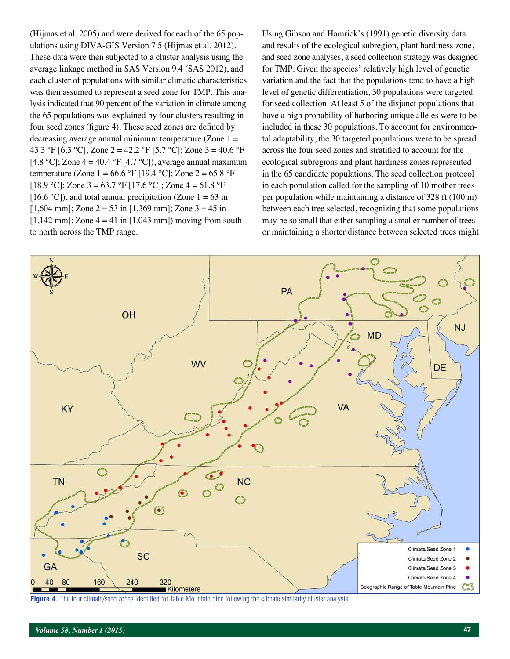(Hijmas et al. 2005) and were derived for each of the 65 populations using DIVA-GIS Version 7.5 (Hijmas et al. 2012). These data were then subjected to a cluster analysis using the average linkage method in SAS Version 9.4 (SAS 2012), and each cluster of populations with similar climatic characteristics was then assumed to represent a seed zone for TMP. This analysis indicated that 90 percent of the variation in climate among the 65 populations was explained by four clusters resulting in four seed zones (figure 4). These seed zones are defined by decreasing average annual minimum temperature (Zone  $1 =$ 43.3 °F [6.3 °C]; Zone 2 = 42.2 °F [5.7 °C]; Zone 3 = 40.6 °F [4.8 °C]; Zone  $4 = 40.4$  °F [4.7 °C]), average annual maximum temperature (Zone  $1 = 66.6 \text{ °F}$  [19.4 °C]; Zone  $2 = 65.8 \text{ °F}$ [18.9 °C]; Zone 3 = 63.7 °F [17.6 °C]; Zone 4 = 61.8 °F [16.6 °C]), and total annual precipitation (Zone  $1 = 63$  in  $[1,604 \text{ mm}]$ ; Zone 2 = 53 in  $[1,369 \text{ mm}]$ ; Zone 3 = 45 in  $[1,142 \text{ mm}]$ ; Zone  $4 = 41$  in  $[1,043 \text{ mm}]$ ) moving from south to north across the TMP range.

Using Gibson and Hamrick's (1991) genetic diversity data and results of the ecological subregion, plant hardiness zone, and seed zone analyses, a seed collection strategy was designed for TMP. Given the species' relatively high level of genetic variation and the fact that the populations tend to have a high level of genetic differentiation, 30 populations were targeted for seed collection. At least 5 of the disjunct populations that have a high probability of harboring unique alleles were to be included in these 30 populations. To account for environmental adaptability, the 30 targeted populations were to be spread across the four seed zones and stratified to account for the ecological subregions and plant hardiness zones represented in the 65 candidate populations. The seed collection protocol in each population called for the sampling of 10 mother trees per population while maintaining a distance of 328 ft (100 m) between each tree selected, recognizing that some populations may be so small that either sampling a smaller number of trees or maintaining a shorter distance between selected trees might



Figure 4. The four climate/seed zones identified for Table Mountain pine following the climate similarity cluster analysis.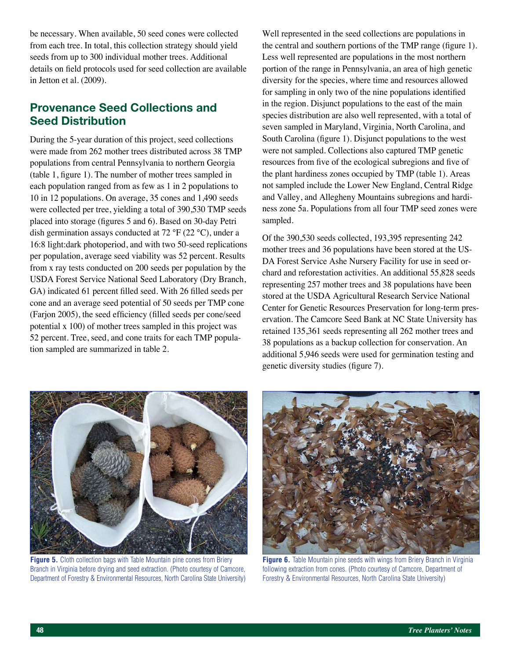be necessary. When available, 50 seed cones were collected from each tree. In total, this collection strategy should yield seeds from up to 300 individual mother trees. Additional details on field protocols used for seed collection are available in Jetton et al. (2009).

# **Provenance Seed Collections and Seed Distribution**

During the 5-year duration of this project, seed collections were made from 262 mother trees distributed across 38 TMP populations from central Pennsylvania to northern Georgia (table 1, figure 1). The number of mother trees sampled in each population ranged from as few as 1 in 2 populations to 10 in 12 populations. On average, 35 cones and 1,490 seeds were collected per tree, yielding a total of 390,530 TMP seeds placed into storage (figures 5 and 6). Based on 30-day Petri dish germination assays conducted at 72 °F (22 °C), under a 16:8 light:dark photoperiod, and with two 50-seed replications per population, average seed viability was 52 percent. Results from x ray tests conducted on 200 seeds per population by the USDA Forest Service National Seed Laboratory (Dry Branch, GA) indicated 61 percent filled seed. With 26 filled seeds per cone and an average seed potential of 50 seeds per TMP cone (Farjon 2005), the seed efficiency (filled seeds per cone/seed potential x 100) of mother trees sampled in this project was 52 percent. Tree, seed, and cone traits for each TMP population sampled are summarized in table 2.

Well represented in the seed collections are populations in the central and southern portions of the TMP range (figure 1). Less well represented are populations in the most northern portion of the range in Pennsylvania, an area of high genetic diversity for the species, where time and resources allowed for sampling in only two of the nine populations identified in the region. Disjunct populations to the east of the main species distribution are also well represented, with a total of seven sampled in Maryland, Virginia, North Carolina, and South Carolina (figure 1). Disjunct populations to the west were not sampled. Collections also captured TMP genetic resources from five of the ecological subregions and five of the plant hardiness zones occupied by TMP (table 1). Areas not sampled include the Lower New England, Central Ridge and Valley, and Allegheny Mountains subregions and hardiness zone 5a. Populations from all four TMP seed zones were sampled.

Of the 390,530 seeds collected, 193,395 representing 242 mother trees and 36 populations have been stored at the US-DA Forest Service Ashe Nursery Facility for use in seed orchard and reforestation activities. An additional 55,828 seeds representing 257 mother trees and 38 populations have been stored at the USDA Agricultural Research Service National Center for Genetic Resources Preservation for long-term preservation. The Camcore Seed Bank at NC State University has retained 135,361 seeds representing all 262 mother trees and 38 populations as a backup collection for conservation. An additional 5,946 seeds were used for germination testing and genetic diversity studies (figure 7).



**Figure 5.** Cloth collection bags with Table Mountain pine cones from Briery Branch in Virginia before drying and seed extraction. (Photo courtesy of Camcore, Department of Forestry & Environmental Resources, North Carolina State University)



**Figure 6.** Table Mountain pine seeds with wings from Briery Branch in Virginia following extraction from cones. (Photo courtesy of Camcore, Department of Forestry & Environmental Resources, North Carolina State University)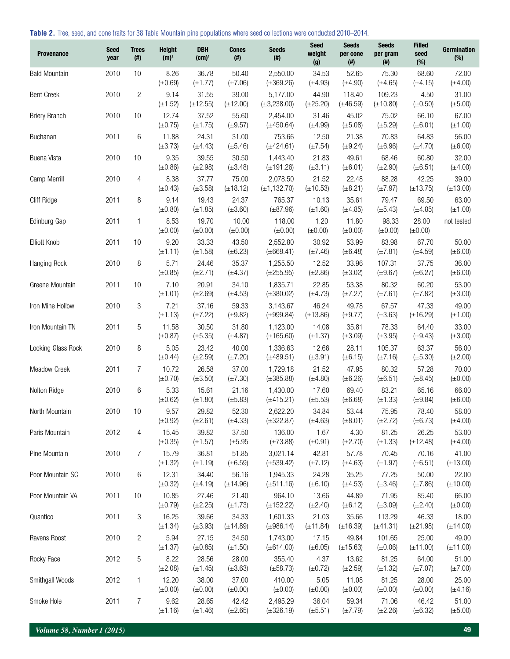**Table 2.** Tree, seed, and cone traits for 38 Table Mountain pine populations where seed collections were conducted 2010–2014.

| <b>Provenance</b>    | <b>Seed</b><br>year | <b>Trees</b><br>$($ # $)$ | <b>Height</b><br>(m) <sup>a</sup> | <b>DBH</b><br>(cm) <sup>1</sup> | <b>Cones</b><br>$($ #) | <b>Seeds</b><br>$($ #)        | <b>Seed</b><br>weight<br>(g) | <b>Seeds</b><br>per cone<br>$($ #) | <b>Seeds</b><br>per gram<br>$^{(\#)}$ | <b>Filled</b><br>seed<br>(%) | Germination<br>$(\%)$  |
|----------------------|---------------------|---------------------------|-----------------------------------|---------------------------------|------------------------|-------------------------------|------------------------------|------------------------------------|---------------------------------------|------------------------------|------------------------|
| <b>Bald Mountain</b> | 2010                | 10                        | 8.26<br>$(\pm 0.69)$              | 36.78<br>$(\pm 1.77)$           | 50.40<br>$(\pm 7.06)$  | 2,550.00<br>$(\pm 369.26)$    | 34.53<br>$(\pm 4.93)$        | 52.65<br>$(\pm 4.90)$              | 75.30<br>$(\pm 4.65)$                 | 68.60<br>$(\pm 4.15)$        | 72.00<br>$(\pm 4.00)$  |
| <b>Bent Creek</b>    | 2010                | $\overline{c}$            | 9.14<br>$(\pm 1.52)$              | 31.55<br>$(\pm 12.55)$          | 39.00<br>$(\pm 12.00)$ | 5,177.00<br>$(\pm 3, 238.00)$ | 44.90<br>$(\pm 25.20)$       | 118.40<br>$(\pm 46.59)$            | 109.23<br>$(\pm 10.80)$               | 4.50<br>$(\pm 0.50)$         | 31.00<br>$(\pm 5.00)$  |
| <b>Briery Branch</b> | 2010                | 10                        | 12.74<br>$(\pm 0.75)$             | 37.52<br>$(\pm 1.75)$           | 55.60<br>$(\pm 9.57)$  | 2,454.00<br>$(\pm 450.64)$    | 31.46<br>$(\pm 4.99)$        | 45.02<br>$(\pm 5.08)$              | 75.02<br>$(\pm 5.29)$                 | 66.10<br>$(\pm 6.01)$        | 67.00<br>$(\pm 1.00)$  |
| Buchanan             | 2011                | 6                         | 11.88<br>$(\pm 3.73)$             | 24.31<br>$(\pm 4.43)$           | 31.00<br>$(\pm 5.46)$  | 753.66<br>$(\pm 424.61)$      | 12.50<br>$(\pm 7.54)$        | 21.38<br>$(\pm 9.24)$              | 70.83<br>$(\pm 6.96)$                 | 64.83<br>$(\pm 4.70)$        | 56.00<br>$(\pm 6.00)$  |
| Buena Vista          | 2010                | 10                        | 9.35<br>$(\pm 0.86)$              | 39.55<br>$(\pm 2.98)$           | 30.50<br>$(\pm 3.48)$  | 1,443.40<br>$(\pm 191.26)$    | 21.83<br>$(\pm 3.11)$        | 49.61<br>$(\pm 6.01)$              | 68.46<br>$(\pm 2.90)$                 | 60.80<br>$(\pm 6.51)$        | 32.00<br>$(\pm 4.00)$  |
| Camp Merrill         | 2010                | 4                         | 8.38<br>$(\pm 0.43)$              | 37.77<br>$(\pm 3.58)$           | 75.00<br>$(\pm 18.12)$ | 2,078.50<br>$(\pm 1, 132.70)$ | 21.52<br>$(\pm 10.53)$       | 22.48<br>$(\pm 8.21)$              | 88.28<br>$(\pm 7.97)$                 | 42.25<br>$(\pm 13.75)$       | 39.00<br>$(\pm 13.00)$ |
| Cliff Ridge          | 2011                | 8                         | 9.14<br>$(\pm 0.80)$              | 19.43<br>$(\pm 1.85)$           | 24.37<br>$(\pm 3.60)$  | 765.37<br>$(\pm 87.96)$       | 10.13<br>$(\pm 1.60)$        | 35.61<br>$(\pm 4.85)$              | 79.47<br>$(\pm 5.43)$                 | 69.50<br>$(\pm 4.85)$        | 63.00<br>$(\pm 1.00)$  |
| Edinburg Gap         | 2011                | $\mathbf{1}$              | 8.53<br>$(\pm 0.00)$              | 19.70<br>$(\pm 0.00)$           | 10.00<br>$(\pm 0.00)$  | 118.00<br>$(\pm 0.00)$        | 1.20<br>$(\pm 0.00)$         | 11.80<br>$(\pm 0.00)$              | 98.33<br>$(\pm 0.00)$                 | 28.00<br>$(\pm 0.00)$        | not tested             |
| Elliott Knob         | 2011                | 10                        | 9.20<br>$(\pm 1.11)$              | 33.33<br>$(\pm 1.58)$           | 43.50<br>$(\pm 6.23)$  | 2,552.80<br>$(\pm 669.41)$    | 30.92<br>$(\pm 7.46)$        | 53.99<br>$(\pm 6.48)$              | 83.98<br>$(\pm 7.81)$                 | 67.70<br>$(\pm 4.59)$        | 50.00<br>$(\pm 6.00)$  |
| Hanging Rock         | 2010                | 8                         | 5.71<br>$(\pm 0.85)$              | 24.46<br>$(\pm 2.71)$           | 35.37<br>$(\pm 4.37)$  | 1,255.50<br>$(\pm 255.95)$    | 12.52<br>$(\pm 2.86)$        | 33.96<br>$(\pm 3.02)$              | 107.31<br>$(\pm 9.67)$                | 37.75<br>$(\pm 6.27)$        | 36.00<br>$(\pm 6.00)$  |
| Greene Mountain      | 2011                | 10                        | 7.10<br>$(\pm 1.01)$              | 20.91<br>$(\pm 2.69)$           | 34.10<br>$(\pm 4.53)$  | 1,835.71<br>$(\pm 380.02)$    | 22.85<br>$(\pm 4.73)$        | 53.38<br>$(\pm 7.27)$              | 80.32<br>$(\pm 7.61)$                 | 60.20<br>$(\pm 7.82)$        | 53.00<br>$(\pm 3.00)$  |
| Iron Mine Hollow     | 2010                | 3                         | 7.21<br>$(\pm 1.13)$              | 37.16<br>$(\pm 7.22)$           | 59.33<br>$(\pm 9.82)$  | 3,143.67<br>$(\pm 999.84)$    | 46.24<br>$(\pm 13.86)$       | 49.78<br>$(\pm 9.77)$              | 67.57<br>$(\pm 3.63)$                 | 47.33<br>$(\pm 16.29)$       | 49.00<br>$(\pm 1.00)$  |
| Iron Mountain TN     | 2011                | 5                         | 11.58<br>$(\pm 0.87)$             | 30.50<br>$(\pm 5.35)$           | 31.80<br>$(\pm 4.87)$  | 1,123.00<br>$(\pm 165.60)$    | 14.08<br>$(\pm 1.37)$        | 35.81<br>$(\pm 3.09)$              | 78.33<br>$(\pm 3.95)$                 | 64.40<br>$(\pm 9.43)$        | 33.00<br>$(\pm 3.00)$  |
| Looking Glass Rock   | 2010                | 8                         | 5.05<br>$(\pm 0.44)$              | 23.42<br>$(\pm 2.59)$           | 40.00<br>$(\pm 7.20)$  | 1,336.63<br>$(\pm 489.51)$    | 12.66<br>$(\pm 3.91)$        | 28.11<br>$(\pm 6.15)$              | 105.37<br>$(\pm 7.16)$                | 63.37<br>$(\pm 5.30)$        | 56.00<br>$(\pm 2.00)$  |
| Meadow Creek         | 2011                | $\overline{7}$            | 10.72<br>$(\pm 0.70)$             | 26.58<br>$(\pm 3.50)$           | 37.00<br>$(\pm 7.30)$  | 1,729.18<br>$(\pm 385.88)$    | 21.52<br>$(\pm 4.80)$        | 47.95<br>$(\pm 6.26)$              | 80.32<br>$(\pm 6.51)$                 | 57.28<br>$(\pm 8.45)$        | 70.00<br>$(\pm 0.00)$  |
| Nolton Ridge         | 2010                | 6                         | 5.33<br>$(\pm 0.62)$              | 15.61<br>$(\pm 1.80)$           | 21.16<br>$(\pm 5.83)$  | 1,430.00<br>$(\pm 415.21)$    | 17.60<br>$(\pm 5.53)$        | 69.40<br>$(\pm 6.68)$              | 83.21<br>$(\pm 1.33)$                 | 65.16<br>$(\pm 9.84)$        | 66.00<br>$(\pm 6.00)$  |
| North Mountain       | 2010                | 10                        | 9.57<br>$(\pm 0.92)$              | 29.82<br>$(\pm 2.61)$           | 52.30<br>$(\pm 4.33)$  | 2,622.20<br>$(\pm 322.87)$    | 34.84<br>$(\pm 4.63)$        | 53.44<br>$(\pm 8.01)$              | 75.95<br>$(\pm 2.72)$                 | 78.40<br>$(\pm 6.73)$        | 58.00<br>$(\pm 4.00)$  |
| Paris Mountain       | 2012                | 4                         | 15.45<br>$(\pm 0.35)$             | 39.82<br>$(\pm 1.57)$           | 37.50<br>$(\pm 5.95)$  | 136.00<br>$(\pm 73.88)$       | 1.67<br>$(\pm 0.91)$         | 4.30<br>$(\pm 2.70)$               | 81.25<br>$(\pm 1.33)$                 | 26.25<br>$(\pm 12.48)$       | 53.00<br>$(\pm 4.00)$  |
| Pine Mountain        | 2010                | 7                         | 15.79<br>$(\pm 1.32)$             | 36.81<br>$(\pm 1.19)$           | 51.85<br>$(\pm 6.59)$  | 3,021.14<br>$(\pm 539.42)$    | 42.81<br>$(\pm 7.12)$        | 57.78<br>$(\pm 4.63)$              | 70.45<br>$(\pm 1.97)$                 | 70.16<br>$(\pm 6.51)$        | 41.00<br>$(\pm 13.00)$ |
| Poor Mountain SC     | 2010                | 6                         | 12.31<br>$(\pm 0.32)$             | 34.40<br>$(\pm 4.19)$           | 56.16<br>$(\pm 14.96)$ | 1,945.33<br>$(\pm 511.16)$    | 24.28<br>$(\pm 6.10)$        | 35.25<br>$(\pm 4.53)$              | 77.25<br>$(\pm 3.46)$                 | 50.00<br>$(\pm 7.86)$        | 22.00<br>$(\pm 10.00)$ |
| Poor Mountain VA     | 2011                | 10                        | 10.85<br>$(\pm 0.79)$             | 27.46<br>$(\pm 2.25)$           | 21.40<br>$(\pm 1.73)$  | 964.10<br>$(\pm 152.22)$      | 13.66<br>$(\pm 2.40)$        | 44.89<br>$(\pm 6.12)$              | 71.95<br>$(\pm 3.09)$                 | 85.40<br>$(\pm 2.40)$        | 66.00<br>$(\pm 0.00)$  |
| Quantico             | 2011                | 3                         | 16.25<br>$(\pm 1.34)$             | 39.66<br>$(\pm 3.93)$           | 34.33<br>$(\pm 14.89)$ | 1,601.33<br>$(\pm 986.14)$    | 21.03<br>$(\pm 11.84)$       | 35.66<br>$(\pm 16.39)$             | 113.29<br>$(\pm 41.31)$               | 46.33<br>$(\pm 21.98)$       | 18.00<br>$(\pm 14.00)$ |
| Ravens Roost         | 2010                | $\overline{c}$            | 5.94<br>$(\pm 1.37)$              | 27.15<br>$(\pm 0.85)$           | 34.50<br>$(\pm 1.50)$  | 1,743.00<br>$(\pm 614.00)$    | 17.15<br>$(\pm 6.05)$        | 49.84<br>$(\pm 15.63)$             | 101.65<br>$(\pm 0.06)$                | 25.00<br>$(\pm 11.00)$       | 49.00<br>$(\pm 11.00)$ |
| Rocky Face           | 2012                | $\mathbf 5$               | 8.22<br>$(\pm 2.08)$              | 28.56<br>$(\pm 1.45)$           | 28.00<br>$(\pm 3.63)$  | 355.40<br>$(\pm 58.73)$       | 4.37<br>$(\pm 0.72)$         | 13.62<br>$(\pm 2.59)$              | 81.25<br>$(\pm 1.32)$                 | 64.00<br>$(\pm 7.07)$        | 51.00<br>$(\pm 7.00)$  |
| Smithgall Woods      | 2012                | $\mathbf{1}$              | 12.20<br>$(\pm 0.00)$             | 38.00<br>$(\pm 0.00)$           | 37.00<br>$(\pm 0.00)$  | 410.00<br>$(\pm 0.00)$        | 5.05<br>$(\pm 0.00)$         | 11.08<br>$(\pm 0.00)$              | 81.25<br>$(\pm 0.00)$                 | 28.00<br>$(\pm 0.00)$        | 25.00<br>$(\pm 4.16)$  |
| Smoke Hole           | 2011                | 7                         | 9.62<br>$(\pm 1.16)$              | 28.65<br>$(\pm 1.46)$           | 42.42<br>$(\pm 2.65)$  | 2,495.29<br>$(\pm 326.19)$    | 36.04<br>$(\pm 5.51)$        | 59.34<br>$(\pm 7.79)$              | 71.06<br>$(\pm 2.26)$                 | 46.42<br>$(\pm 6.32)$        | 51.00<br>$(\pm 5.00)$  |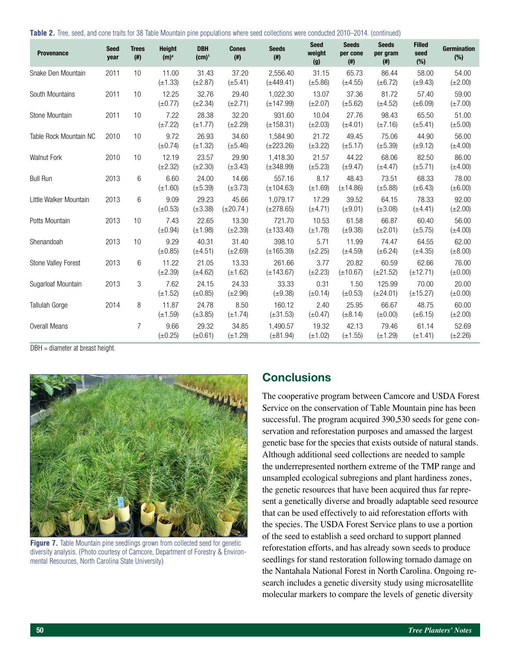**Table 2.** Tree, seed, and cone traits for 38 Table Mountain pine populations where seed collections were conducted 2010–2014. (continued)

| <b>Provenance</b>          | <b>Seed</b><br>year | <b>Trees</b><br>$^{(\#)}$ | <b>Height</b><br>(m) <sup>a</sup> | <b>DBH</b><br>$(cm)^1$ | <b>Cones</b><br>$($ #) | <b>Seeds</b><br>$($ #)     | <b>Seed</b><br>weight<br>(g) | <b>Seeds</b><br>per cone<br>$($ # $)$ | <b>Seeds</b><br>per gram<br>$($ #) | <b>Filled</b><br>seed<br>(%) | <b>Germination</b><br>(%) |
|----------------------------|---------------------|---------------------------|-----------------------------------|------------------------|------------------------|----------------------------|------------------------------|---------------------------------------|------------------------------------|------------------------------|---------------------------|
| Snake Den Mountain         | 2011                | 10                        | 11.00<br>$(\pm 1.33)$             | 31.43<br>$(\pm 2.87)$  | 37.20<br>$(\pm 5.41)$  | 2,556.40<br>$(\pm 449.41)$ | 31.15<br>$(\pm 5.86)$        | 65.73<br>$(\pm 4.55)$                 | 86.44<br>$(\pm 6.72)$              | 58.00<br>$(\pm 9.43)$        | 54.00<br>$(\pm 2.00)$     |
| South Mountains            | 2011                | 10                        | 12.25<br>$(\pm 0.77)$             | 32.76<br>$(\pm 2.34)$  | 29.40<br>$(\pm 2.71)$  | 1,022.30<br>$(\pm 147.99)$ | 13.07<br>$(\pm 2.07)$        | 37.36<br>$(\pm 5.62)$                 | 81.72<br>$(\pm 4.52)$              | 57.40<br>$(\pm 6.09)$        | 59.00<br>$(\pm 7.00)$     |
| Stone Mountain             | 2011                | 10                        | 7.22<br>$(\pm 7.22)$              | 28.38<br>$(\pm 1.77)$  | 32.20<br>$(\pm 2.29)$  | 931.60<br>$(\pm 158.31)$   | 10.04<br>$(\pm 2.03)$        | 27.76<br>$(\pm 4.01)$                 | 98.43<br>$(\pm 7.16)$              | 65.50<br>$(\pm 5.41)$        | 51.00<br>$(\pm 5.00)$     |
| Table Rock Mountain NC     | 2010                | 10                        | 9.72<br>$(\pm 0.74)$              | 26.93<br>$(\pm 1.32)$  | 34.60<br>$(\pm 5.46)$  | 1,584.90<br>$(\pm 223.26)$ | 21.72<br>$(\pm 3.22)$        | 49.45<br>$(\pm 5.17)$                 | 75.06<br>$(\pm 5.39)$              | 44.90<br>$(\pm 9.12)$        | 56.00<br>$(\pm 4.00)$     |
| <b>Walnut Fork</b>         | 2010                | 10                        | 12.19<br>$(\pm 2.32)$             | 23.57<br>$(\pm 2.30)$  | 29.90<br>$(\pm 3.43)$  | 1,418.30<br>$(\pm 348.99)$ | 21.57<br>$(\pm 5.23)$        | 44.22<br>$(\pm 9.47)$                 | 68.06<br>$(\pm 4.47)$              | 82.50<br>$(\pm 5.71)$        | 86.00<br>$(\pm 4.00)$     |
| <b>Bull Run</b>            | 2013                | 6                         | 6.60<br>$(\pm 1.60)$              | 24.00<br>$(\pm 5.39)$  | 14.66<br>$(\pm 3.73)$  | 557.16<br>$(\pm 104.63)$   | 8.17<br>$(\pm 1.69)$         | 48.43<br>$(\pm 14.86)$                | 73.51<br>$(\pm 5.88)$              | 68.33<br>$(\pm 6.43)$        | 78.00<br>$(\pm 6.00)$     |
| Little Walker Mountain     | 2013                | 6                         | 9.09<br>$(\pm 0.53)$              | 29.23<br>$(\pm 3.38)$  | 45.66<br>$(\pm 20.74)$ | 1,079.17<br>$(\pm 278.65)$ | 17.29<br>$(\pm 4.71)$        | 39.52<br>$(\pm 9.01)$                 | 64.15<br>$(\pm 3.08)$              | 78.33<br>$(\pm 4.41)$        | 92.00<br>$(\pm 2.00)$     |
| Potts Mountain             | 2013                | 10                        | 7.43<br>$(\pm 0.94)$              | 22.65<br>$(\pm 1.98)$  | 13.30<br>$(\pm 2.39)$  | 721.70<br>$(\pm 133.40)$   | 10.53<br>$(\pm 1.78)$        | 61.58<br>$(\pm 9.38)$                 | 66.87<br>$(\pm 2.01)$              | 60.40<br>$(\pm 5.75)$        | 56.00<br>$(\pm 4.00)$     |
| Shenandoah                 | 2013                | 10                        | 9.29<br>$(\pm 0.85)$              | 40.31<br>$(\pm 4.51)$  | 31.40<br>$(\pm 2.69)$  | 398.10<br>$(\pm 165.39)$   | 5.71<br>$(\pm 2.25)$         | 11.99<br>$(\pm 4.59)$                 | 74.47<br>$(\pm 6.24)$              | 64.55<br>$(\pm 4.35)$        | 62.00<br>$(\pm 8.00)$     |
| <b>Stone Valley Forest</b> | 2013                | 6                         | 11.22<br>$(\pm 2.39)$             | 21.05<br>$(\pm 4.62)$  | 13.33<br>$(\pm 1.62)$  | 261.66<br>$(\pm 143.67)$   | 3.77<br>$(\pm 2.23)$         | 20.82<br>$(\pm 10.67)$                | 60.59<br>$(\pm 21.52)$             | 62.66<br>$(\pm 12.71)$       | 76.00<br>$(\pm 0.00)$     |
| Sugarloaf Mountain         | 2013                | 3                         | 7.62<br>$(\pm 1.52)$              | 24.15<br>$(\pm 0.85)$  | 24.33<br>$(\pm 2.96)$  | 33.33<br>$(\pm 9.38)$      | 0.31<br>$(\pm 0.14)$         | 1.50<br>$(\pm 0.53)$                  | 125.99<br>$(\pm 24.01)$            | 70.00<br>$(\pm 15.27)$       | 20.00<br>$(\pm 0.00)$     |
| Tallulah Gorge             | 2014                | 8                         | 11.87<br>$(\pm 1.59)$             | 24.78<br>$(\pm 3.85)$  | 8.50<br>$(\pm 1.74)$   | 160.12<br>$(\pm 31.53)$    | 2.40<br>$(\pm 0.47)$         | 25.95<br>$(\pm 8.14)$                 | 66.67<br>$(\pm 0.00)$              | 48.75<br>$(\pm 6.15)$        | 60.00<br>$(\pm 2.00)$     |
| <b>Overall Means</b>       |                     | 7                         | 9.66<br>$(\pm 0.25)$              | 29.32<br>$(\pm 0.61)$  | 34.85<br>$(\pm 1.29)$  | 1,490.57<br>$(\pm 81.94)$  | 19.32<br>$(\pm 1.02)$        | 42.13<br>$(\pm 1.55)$                 | 79.46<br>$(\pm 1.29)$              | 61.14<br>$(\pm 1.41)$        | 52.69<br>$(\pm 2.26)$     |

DBH = diameter at breast height.



**Figure 7.** Table Mountain pine seedlings grown from collected seed for genetic diversity analysis. (Photo courtesy of Camcore, Department of Forestry & Environmental Resources, North Carolina State University)

## **Conclusions**

The cooperative program between Camcore and USDA Forest Service on the conservation of Table Mountain pine has been successful. The program acquired 390,530 seeds for gene conservation and reforestation purposes and amassed the largest genetic base for the species that exists outside of natural stands. Although additional seed collections are needed to sample the underrepresented northern extreme of the TMP range and unsampled ecological subregions and plant hardiness zones, the genetic resources that have been acquired thus far represent a genetically diverse and broadly adaptable seed resource that can be used effectively to aid reforestation efforts with the species. The USDA Forest Service plans to use a portion of the seed to establish a seed orchard to support planned reforestation efforts, and has already sown seeds to produce seedlings for stand restoration following tornado damage on the Nantahala National Forest in North Carolina. Ongoing research includes a genetic diversity study using microsatellite molecular markers to compare the levels of genetic diversity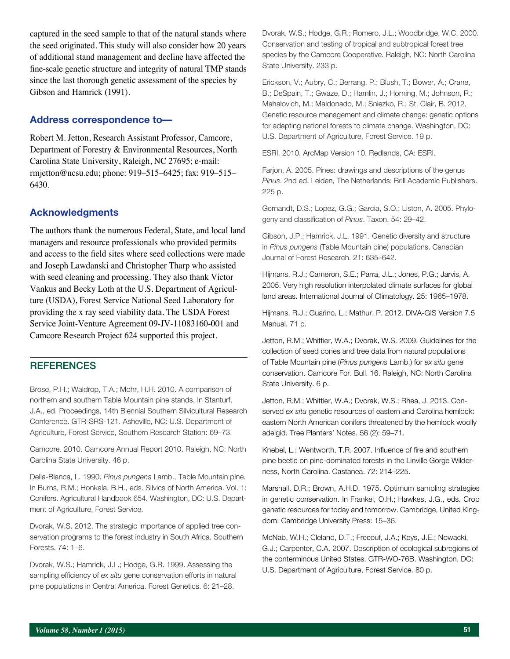captured in the seed sample to that of the natural stands where the seed originated. This study will also consider how 20 years of additional stand management and decline have affected the fine-scale genetic structure and integrity of natural TMP stands since the last thorough genetic assessment of the species by Gibson and Hamrick (1991).

#### **Address correspondence to—**

Robert M. Jetton, Research Assistant Professor, Camcore, Department of Forestry & Environmental Resources, North Carolina State University, Raleigh, NC 27695; e-mail: rmjetton@ncsu.edu; phone: 919–515–6425; fax: 919–515– 6430.

#### **Acknowledgments**

The authors thank the numerous Federal, State, and local land managers and resource professionals who provided permits and access to the field sites where seed collections were made and Joseph Lawdanski and Christopher Tharp who assisted with seed cleaning and processing. They also thank Victor Vankus and Becky Loth at the U.S. Department of Agriculture (USDA), Forest Service National Seed Laboratory for providing the x ray seed viability data. The USDA Forest Service Joint-Venture Agreement 09-JV-11083160-001 and Camcore Research Project 624 supported this project.

### **REFERENCES**

Brose, P.H.; Waldrop, T.A.; Mohr, H.H. 2010. A comparison of northern and southern Table Mountain pine stands. In Stanturf, J.A., ed. Proceedings, 14th Biennial Southern Silvicultural Research Conference. GTR-SRS-121. Asheville, NC: U.S. Department of Agriculture, Forest Service, Southern Research Station: 69–73.

Camcore. 2010. Camcore Annual Report 2010. Raleigh, NC: North Carolina State University. 46 p.

Della-Bianca, L. 1990. *Pinus pungens* Lamb., Table Mountain pine. In Burns, R.M.; Honkala, B.H., eds. Silvics of North America. Vol. 1: Conifers. Agricultural Handbook 654. Washington, DC: U.S. Department of Agriculture, Forest Service.

Dvorak, W.S. 2012. The strategic importance of applied tree conservation programs to the forest industry in South Africa. Southern Forests. 74: 1–6.

Dvorak, W.S.; Hamrick, J.L.; Hodge, G.R. 1999. Assessing the sampling efficiency of *ex situ* gene conservation efforts in natural pine populations in Central America. Forest Genetics. 6: 21–28.

Dvorak, W.S.; Hodge, G.R.; Romero, J.L.; Woodbridge, W.C. 2000. Conservation and testing of tropical and subtropical forest tree species by the Camcore Cooperative. Raleigh, NC: North Carolina State University. 233 p.

Erickson, V.; Aubry, C.; Berrang, P.; Blush, T.; Bower, A.; Crane, B.; DeSpain, T.; Gwaze, D.; Hamlin, J.; Horning, M.; Johnson, R.; Mahalovich, M.; Maldonado, M.; Sniezko, R.; St. Clair, B. 2012. Genetic resource management and climate change: genetic options for adapting national forests to climate change. Washington, DC: U.S. Department of Agriculture, Forest Service. 19 p.

ESRI. 2010. ArcMap Version 10. Redlands, CA: ESRI.

Farjon, A. 2005. Pines: drawings and descriptions of the genus *Pinus*. 2nd ed. Leiden, The Netherlands: Brill Academic Publishers. 225 p.

Gernandt, D.S.; Lopez, G.G.; Garcia, S.O.; Liston, A. 2005. Phylogeny and classification of *Pinus*. Taxon. 54: 29–42.

Gibson, J.P.; Hamrick, J.L. 1991. Genetic diversity and structure in *Pinus pungens* (Table Mountain pine) populations. Canadian Journal of Forest Research. 21: 635–642.

Hijmans, R.J.; Cameron, S.E.; Parra, J.L.; Jones, P.G.; Jarvis, A. 2005. Very high resolution interpolated climate surfaces for global land areas. [International Journal of Climatology. 25: 1965–1978](http://onlinelibrary.wiley.com/doi/10.1002/joc.1276/pdf).

Hijmans, R.J.; Guarino, L.; Mathur, P. 2012. DIVA-GIS Version 7.5 Manual. 71 p.

Jetton, R.M.; Whittier, W.A.; Dvorak, W.S. 2009. Guidelines for the collection of seed cones and tree data from natural populations of Table Mountain pine (*Pinus pungens* Lamb.) for *ex situ* gene conservation. Camcore For. Bull. 16. Raleigh, NC: North Carolina State University. 6 p.

Jetton, R.M.; Whittier, W.A.; Dvorak, W.S.; Rhea, J. 2013. Conserved *ex situ* genetic resources of eastern and Carolina hemlock: eastern North American conifers threatened by the hemlock woolly adelgid. Tree Planters' Notes. 56 (2): 59–71.

Knebel, L.; Wentworth, T.R. 2007. Influence of fire and southern pine beetle on pine-dominated forests in the Linville Gorge Wilderness, North Carolina. Castanea. 72: 214–225.

Marshall, D.R.; Brown, A.H.D. 1975. Optimum sampling strategies in genetic conservation. In Frankel, O.H.; Hawkes, J.G., eds. Crop genetic resources for today and tomorrow. Cambridge, United Kingdom: Cambridge University Press: 15–36.

McNab, W.H.; Cleland, D.T.; Freeouf, J.A.; Keys, J.E.; Nowacki, G.J.; Carpenter, C.A. 2007. Description of ecological subregions of the conterminous United States. GTR-WO-76B. Washington, DC: U.S. Department of Agriculture, Forest Service. 80 p.